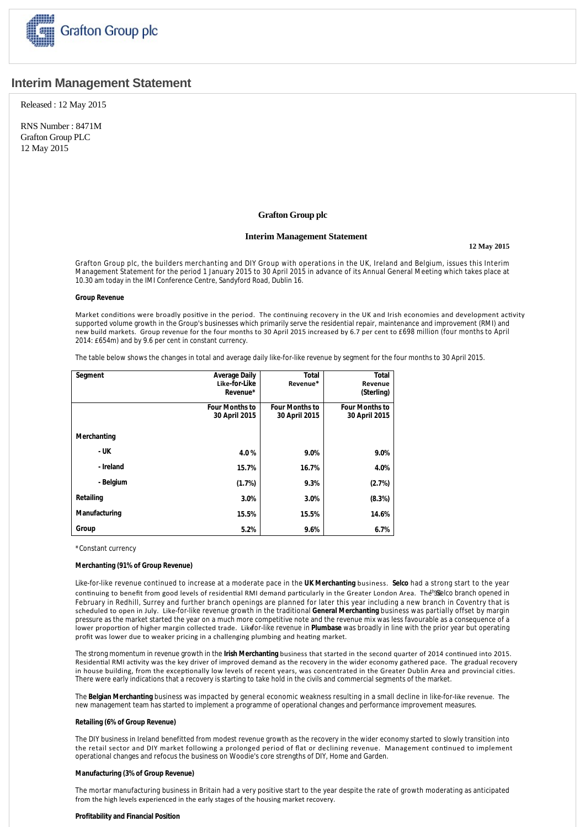

# **Interim Management Statement**

Released : 12 May 2015

RNS Number : 8471M Grafton Group PLC 12 May 2015

## **Grafton Group plc**

## **Interim Management Statement**

**12 May 2015**

Grafton Group plc, the builders merchanting and DIY Group with operations in the UK, Ireland and Belgium, issues this Interim Management Statement for the period 1 January 2015 to 30 April 2015 in advance of its Annual General Meeting which takes place at 10.30 am today in the IMI Conference Centre, Sandyford Road, Dublin 16.

#### **Group Revenue**

Market conditions were broadly positive in the period. The continuing recovery in the UK and Irish economies and development activity supported volume growth in the Group's businesses which primarily serve the residential repair, maintenance and improvement (RMI) and new build markets. Group revenue for the four months to 30 April 2015 increased by 6.7 per cent to £698 million (four months to April 2014: £654m) and by 9.6 per cent in constant currency.

The table below shows the changes in total and average daily like-for-like revenue by segment for the four months to 30 April 2015.

| Segment       | <b>Average Daily</b><br>Like-for-Like<br>Revenue* | <b>Total</b><br>Revenue*               | <b>Total</b><br>Revenue<br>(Sterling)  |
|---------------|---------------------------------------------------|----------------------------------------|----------------------------------------|
|               | <b>Four Months to</b><br>30 April 2015            | <b>Four Months to</b><br>30 April 2015 | <b>Four Months to</b><br>30 April 2015 |
| Merchanting   |                                                   |                                        |                                        |
| - UK          | 4.0%                                              | 9.0%                                   | 9.0%                                   |
| - Ireland     | 15.7%                                             | 16.7%                                  | 4.0%                                   |
| - Belgium     | (1.7%)                                            | 9.3%                                   | (2.7%)                                 |
| Retailing     | 3.0%                                              | 3.0%                                   | (8.3%)                                 |
| Manufacturing | 15.5%                                             | 15.5%                                  | 14.6%                                  |
| Group         | 5.2%                                              | 9.6%                                   | 6.7%                                   |

\*Constant currency

#### **Merchanting (91% of Group Revenue)**

Like-for-like revenue continued to increase at a moderate pace in the **UK Merchanting** business. **Selco** had a strong start to the year continuing to benefit from good levels of residential RMI demand particularly in the Greater London Area. The 36 leco branch opened in February in Redhill, Surrey and further branch openings are planned for later this year including a new branch in Coventry that is scheduled to open in July. Like-for-like revenue growth in the traditional **General Merchanting** business was partially offset by margin pressure as the market started the year on a much more competitive note and the revenue mix was less favourable as a consequence of a lower proportion of higher margin collected trade. Likefor-like revenue in Plumbase was broadly in line with the prior year but operating profit was lower due to weaker pricing in a challenging plumbing and heating market.

The strong momentum in revenue growth in the *Irish Merchanting* business that started in the second quarter of 2014 continued into 2015. Residential RMI activity was the key driver of improved demand as the recovery in the wider economy gathered pace. The gradual recovery in house building, from the exceptionally low levels of recent years, was concentrated in the Greater Dublin Area and provincial cities. There were early indications that a recovery is starting to take hold in the civils and commercial segments of the market.

The **Belgian Merchanting** business was impacted by general economic weakness resulting in a small decline in like-for-like revenue. The new management team has started to implement a programme of operational changes and performance improvement measures.

#### **Retailing (6% of Group Revenue)**

The DIY business in Ireland benefitted from modest revenue growth as the recovery in the wider economy started to slowly transition into the retail sector and DIY market following a prolonged period of flat or declining revenue. Management continued to implement operational changes and refocus the business on Woodie's core strengths of DIY, Home and Garden.

#### **Manufacturing (3% of Group Revenue)**

The mortar manufacturing business in Britain had a very positive start to the year despite the rate of growth moderating as anticipated from the high levels experienced in the early stages of the housing market recovery.

#### **Profitability and Financial Position**